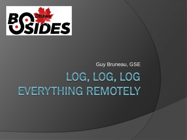

### Guy Bruneau, GSELOG, LOG, LOG EVERYTHING REMOTELY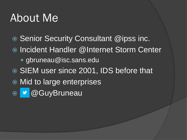### About Me

- **Senior Security Consultant @ipss inc.**
- Incident Handler @Internet Storm Center
	- gbruneau@isc.sans.edu
- **SIEM user since 2001, IDS before that**
- Mid to large enterprises
- ◎ @GuyBruneau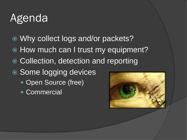### Agenda

- Why collect logs and/or packets?
- $\odot$  How much can I trust my equipment?
- **Collection, detection and reporting**
- Some logging devices
	- Open Source (free)
	- Commercial

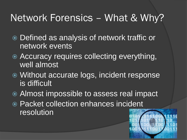### Network Forensics – What & Why?

- Defined as analysis of network traffic or network events
- $\bullet$  Accuracy requires collecting everything, well almost
- Without accurate logs, incident response is difficult
- Almost impossible to assess real impact
- Packet collection enhances incident resolution

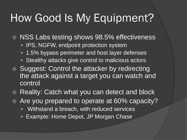### How Good Is My Equipment?

**◎ NSS Labs testing shows 98.5% effectiveness** 

- IPS, NGFW, endpoint protection system
- 1.5% bypass perimeter and host layer defenses
- Stealthy attacks give control to malicious actors
- **Suggest: Control the attacker by redirecting** the attack against a target you can watch and control
- **Reality: Catch what you can detect and block**
- Are you prepared to operate at 60% capacity?
	- Withstand a breach, with reduced services
	- Example: Home Depot, JP Morgan Chase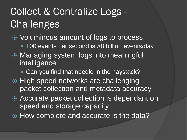### Collect & Centralize Logs - **Challenges**

- Voluminous amount of logs to process
	- 100 events per second is >8 billion events/day
- Managing system logs into meaningful **intelligence** 
	- **Can you find that needle in the haystack?**
- High speed networks are challenging packet collection and metadata accuracy
- Accurate packet collection is dependant on speed and storage capacity
- How complete and accurate is the data?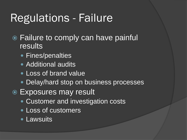### Regulations - Failure

- Failure to comply can have painful results
	- Fines/penalties
	- Additional audits
	- Loss of brand value
	- Delay/hard stop on business processes
- Exposures may result
	- Customer and investigation costs
	- Loss of customers
	- Lawsuits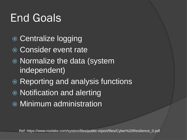## End Goals

- Centralize logging
- Consider event rate
- Normalize the data (system independent)
- Reporting and analysis functions
- Notification and alerting
- Minimum administration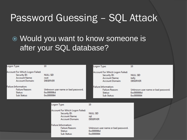#### Password Guessing – SQL Attack

#### Would you want to know someone is after your SQL database?

| Logon Type:                                                                     |                                                                                            | 10                                                                                                |                                    | Logon Type:                                                                                       | 10                                                             |  |  |
|---------------------------------------------------------------------------------|--------------------------------------------------------------------------------------------|---------------------------------------------------------------------------------------------------|------------------------------------|---------------------------------------------------------------------------------------------------|----------------------------------------------------------------|--|--|
|                                                                                 | Account For Which Logon Failed:<br>Security ID:<br>Account Name:<br><b>Account Domain:</b> | NULL SID<br>root<br><b>DBSERVER</b>                                                               |                                    | Account For Which Logon Failed:<br>Security ID:<br><b>Account Name:</b><br><b>Account Domain:</b> | NULL SID<br>kelly<br><b>DBSERVER</b>                           |  |  |
| <b>Failure Information:</b><br><b>Failure Reason:</b><br>Status:<br>Sub Status: |                                                                                            | Unknown user name or bad password.<br>0xc000006d<br>0xc0000064                                    |                                    | <b>Failure Information:</b><br>Failure Reason:<br>Status:<br>Sub Status:                          | Unknown user name or bad password.<br>0xc000006d<br>0xc0000064 |  |  |
|                                                                                 |                                                                                            | Logon Type:                                                                                       | 10                                 |                                                                                                   |                                                                |  |  |
|                                                                                 |                                                                                            | Account For Which Logon Failed:<br>Security ID:<br><b>Account Name:</b><br><b>Account Domain:</b> | NULL SID<br>sql<br><b>DBSERVER</b> |                                                                                                   |                                                                |  |  |
|                                                                                 |                                                                                            | <b>Failure Information:</b><br><b>Failure Reason:</b><br>Status:<br>Sub Status:                   | 0xc000006d<br>0xc0000064           | Unknown user name or bad password.                                                                |                                                                |  |  |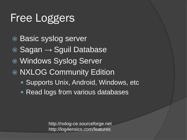### Free Loggers

- Basic syslog server
- $\odot$  Sagan  $\rightarrow$  Sguil Database
- Windows Syslog Server
- NXLOG Community Edition
	- Supports Unix, Android, Windows, etc.
	- Read logs from various databases

http://nxlog-ce.sourceforge.net http://log4ensics.com/features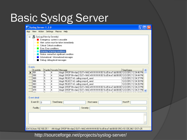### Basic Syslog Server

| View Action Settings Macros Help<br><b>App</b><br>鳳 SysLog (View by Severity)<br>e<br>- Emergency: system is unusable<br>Alert: action must be taken immediately<br>Critical: Critical conditions<br>Error: Error conditions<br>٠<br>Warning: Warning conditions<br>Notice: normal but significant condition<br>Informational: Informational messages<br>Debug: debug-level messages<br>Events<br>Facility Severity Message<br>EventIdx<br>TimeStamp<br>klogd: DROP IN=vlan2 OUT= MAC=ff:ff:ff:ff:ff:ff:ff:ff:ff:00:1b:d5:fe:e7:dd:08:00 12/2/2012 12:34:46<br>5<br>991<br>4<br>5<br>klogd: DROP IN=vlan2 OUT= MAC=ff:ff:ff:ff:ff:ff:ff:ff:00:1b:d5:fe:e7:dd:08:00 12/2/2012 12:34:44 PM<br>990<br>4<br>989<br>5<br>klogd: REJECTv6: calling icmpv6_send<br>4<br>12/2/2012 12:34:37 PM<br>5<br>klogd: REJECTv6: calling icmpv6_send<br>986<br>4<br>12/2/2012 12:34:30 PM<br>5<br>klogd: REJECTv6: calling icmpv6_send<br>983<br>12/2/2012 12:34:26 PM<br>4<br>5<br>klogd: DROP IN=vlan2 OUT= MAC=ff:ff:ff:ff:ff:ff:00:1b:d5:fe:e7:dd:08:00 12/2/2012 12:34:23 PM<br>980<br>4<br>5<br>979<br>klogd: DROP IN=vlan2 OUT= MAC=ff:ff:ff:ff:ff:ff:ff:ff:ff:d0:1b:d5:fe:e7:dd:08:00 12/2/2012 12:34:21 PM<br>4<br>Event detail<br>TimeStamp:<br>Event ID : $n$<br>Host name:<br>$Host$ IP : | S Syslog Server 1.2.0 |  |  |  |  |  |  |  |  |  |  |  |
|--------------------------------------------------------------------------------------------------------------------------------------------------------------------------------------------------------------------------------------------------------------------------------------------------------------------------------------------------------------------------------------------------------------------------------------------------------------------------------------------------------------------------------------------------------------------------------------------------------------------------------------------------------------------------------------------------------------------------------------------------------------------------------------------------------------------------------------------------------------------------------------------------------------------------------------------------------------------------------------------------------------------------------------------------------------------------------------------------------------------------------------------------------------------------------------------------------------------------------------------------------------------------------------|-----------------------|--|--|--|--|--|--|--|--|--|--|--|
|                                                                                                                                                                                                                                                                                                                                                                                                                                                                                                                                                                                                                                                                                                                                                                                                                                                                                                                                                                                                                                                                                                                                                                                                                                                                                      |                       |  |  |  |  |  |  |  |  |  |  |  |
|                                                                                                                                                                                                                                                                                                                                                                                                                                                                                                                                                                                                                                                                                                                                                                                                                                                                                                                                                                                                                                                                                                                                                                                                                                                                                      |                       |  |  |  |  |  |  |  |  |  |  |  |
|                                                                                                                                                                                                                                                                                                                                                                                                                                                                                                                                                                                                                                                                                                                                                                                                                                                                                                                                                                                                                                                                                                                                                                                                                                                                                      |                       |  |  |  |  |  |  |  |  |  |  |  |
|                                                                                                                                                                                                                                                                                                                                                                                                                                                                                                                                                                                                                                                                                                                                                                                                                                                                                                                                                                                                                                                                                                                                                                                                                                                                                      |                       |  |  |  |  |  |  |  |  |  |  |  |
|                                                                                                                                                                                                                                                                                                                                                                                                                                                                                                                                                                                                                                                                                                                                                                                                                                                                                                                                                                                                                                                                                                                                                                                                                                                                                      |                       |  |  |  |  |  |  |  |  |  |  |  |
|                                                                                                                                                                                                                                                                                                                                                                                                                                                                                                                                                                                                                                                                                                                                                                                                                                                                                                                                                                                                                                                                                                                                                                                                                                                                                      |                       |  |  |  |  |  |  |  |  |  |  |  |
|                                                                                                                                                                                                                                                                                                                                                                                                                                                                                                                                                                                                                                                                                                                                                                                                                                                                                                                                                                                                                                                                                                                                                                                                                                                                                      |                       |  |  |  |  |  |  |  |  |  |  |  |
|                                                                                                                                                                                                                                                                                                                                                                                                                                                                                                                                                                                                                                                                                                                                                                                                                                                                                                                                                                                                                                                                                                                                                                                                                                                                                      |                       |  |  |  |  |  |  |  |  |  |  |  |
|                                                                                                                                                                                                                                                                                                                                                                                                                                                                                                                                                                                                                                                                                                                                                                                                                                                                                                                                                                                                                                                                                                                                                                                                                                                                                      |                       |  |  |  |  |  |  |  |  |  |  |  |
|                                                                                                                                                                                                                                                                                                                                                                                                                                                                                                                                                                                                                                                                                                                                                                                                                                                                                                                                                                                                                                                                                                                                                                                                                                                                                      |                       |  |  |  |  |  |  |  |  |  |  |  |
|                                                                                                                                                                                                                                                                                                                                                                                                                                                                                                                                                                                                                                                                                                                                                                                                                                                                                                                                                                                                                                                                                                                                                                                                                                                                                      |                       |  |  |  |  |  |  |  |  |  |  |  |
|                                                                                                                                                                                                                                                                                                                                                                                                                                                                                                                                                                                                                                                                                                                                                                                                                                                                                                                                                                                                                                                                                                                                                                                                                                                                                      |                       |  |  |  |  |  |  |  |  |  |  |  |
|                                                                                                                                                                                                                                                                                                                                                                                                                                                                                                                                                                                                                                                                                                                                                                                                                                                                                                                                                                                                                                                                                                                                                                                                                                                                                      |                       |  |  |  |  |  |  |  |  |  |  |  |
|                                                                                                                                                                                                                                                                                                                                                                                                                                                                                                                                                                                                                                                                                                                                                                                                                                                                                                                                                                                                                                                                                                                                                                                                                                                                                      |                       |  |  |  |  |  |  |  |  |  |  |  |
| Facility:<br>Severity:                                                                                                                                                                                                                                                                                                                                                                                                                                                                                                                                                                                                                                                                                                                                                                                                                                                                                                                                                                                                                                                                                                                                                                                                                                                               |                       |  |  |  |  |  |  |  |  |  |  |  |
|                                                                                                                                                                                                                                                                                                                                                                                                                                                                                                                                                                                                                                                                                                                                                                                                                                                                                                                                                                                                                                                                                                                                                                                                                                                                                      |                       |  |  |  |  |  |  |  |  |  |  |  |
|                                                                                                                                                                                                                                                                                                                                                                                                                                                                                                                                                                                                                                                                                                                                                                                                                                                                                                                                                                                                                                                                                                                                                                                                                                                                                      |                       |  |  |  |  |  |  |  |  |  |  |  |
|                                                                                                                                                                                                                                                                                                                                                                                                                                                                                                                                                                                                                                                                                                                                                                                                                                                                                                                                                                                                                                                                                                                                                                                                                                                                                      |                       |  |  |  |  |  |  |  |  |  |  |  |
|                                                                                                                                                                                                                                                                                                                                                                                                                                                                                                                                                                                                                                                                                                                                                                                                                                                                                                                                                                                                                                                                                                                                                                                                                                                                                      |                       |  |  |  |  |  |  |  |  |  |  |  |

http://sourceforge.net/projects/syslog-server/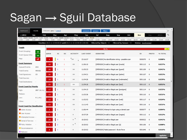### Sagan → Sguil Database

| Dashboard                                             | Events                                                                                                                                              | Welcome guy   Logout           |                        |      |                             | comments                                  | filters<br>sensors                                                                     |                |                                    | $\circ$        |
|-------------------------------------------------------|-----------------------------------------------------------------------------------------------------------------------------------------------------|--------------------------------|------------------------|------|-----------------------------|-------------------------------------------|----------------------------------------------------------------------------------------|----------------|------------------------------------|----------------|
| < 2012                                                | Jan                                                                                                                                                 | Feb                            | Mar                    | Apr  | <b>May</b>                  | Jun                                       | Jul<br>Sep<br>Aug<br>Oct                                                               | <b>Nov</b>     | Dec                                | ⇆<br>2014 >    |
| Fri01 Sat02 Sun03 Mon04<br>0:00<br>1:00               | Tue05<br>2:00<br>3:00                                                                                                                               | Wed06<br>Thu07<br>4:00<br>5:00 | Sat09<br>Fri08<br>6:00 | 7:00 | Sun10 Mon11<br>9:00<br>8:00 | Tue12 Wed13 Thu14 Fri15<br>10:00<br>11:00 | Tue19 Wed20<br>Thu <sub>21</sub><br>12:00<br>13:00<br>14:00<br>15:00<br>16:00<br>17:00 | 18:00<br>19:00 | Wed <sub>2</sub><br>20:00<br>21:00 | 22:00<br>23:00 |
|                                                       | Timeline: 2013-11-15 00:00:00 until 2013-11-15 23:59:59 (+00:00)<br>Filtered by Object: NO<br>Filtered by Sensor: NO<br><b>Status: Synchronized</b> |                                |                        |      |                             |                                           |                                                                                        |                |                                    |                |
| <b>Toggle</b>                                         |                                                                                                                                                     |                                |                        |      |                             |                                           | 98.1%                                                                                  |                |                                    | 1.9%           |
| Event Grouping:                                       | on                                                                                                                                                  | <b>OUEUE</b>                   | <b>SC</b>              | DC   | <b>ACTIVITY</b>             | <b>LAST EVENT</b>                         | <b>SIGNATURE</b>                                                                       | ID             | <b>PROTO</b>                       | % TOTAL        |
| Event Queue Only:                                     | on                                                                                                                                                  |                                |                        |      |                             |                                           |                                                                                        |                |                                    |                |
| Map:                                                  | off                                                                                                                                                 | 4                              | $\overline{4}$         | 1    | Turisi                      | 23:16:57                                  | [OPENSSH] No identification string - possible scan                                     | 5000070        | 6                                  | 0.008%         |
| <b>Event Summary</b>                                  |                                                                                                                                                     | 18                             | $\mathbf{1}$           | 1    | THE R                       | 11:56:10                                  | [OPENSSH] Invalid or illegal user [oracle]                                             | 5001113        | -6                                 | 0.037%         |
| Queued Events:<br><b>Total Events:</b>                | 211<br>49142                                                                                                                                        | 20                             | $\mathbf{1}$           | 1    | шu                          | 11:55:33                                  | [OPENSSH] Invalid or illegal user [guest]                                              | 5001109        | 6                                  | 0.041%         |
| <b>Total Signatures:</b>                              | 15                                                                                                                                                  | 26                             | $\mathbf{1}$           | 1    | œн                          | 11:54:31                                  | [OPENSSH] Invalid or illegal user [admin]                                              | 5001107        | 6                                  | 0.053%         |
| <b>Total Sources:</b>                                 |                                                                                                                                                     | 19                             | $\mathbf{1}$           | 1    | шu                          | 11:54:26                                  | [OPENSSH] Invalid or illegal user [webmaster]                                          | 5001118        | 6                                  | 0.039%         |
| <b>Total Destinations:</b>                            |                                                                                                                                                     |                                |                        |      |                             |                                           |                                                                                        |                |                                    |                |
| <b>Event Count by Priority</b>                        |                                                                                                                                                     | 25                             | $\mathbf{1}$           | 1    | шu                          | 11:54:16                                  | [OPENSSH] Invalid or illegal user [test]                                               | 5001115        | 6                                  | 0.051%         |
| High:                                                 | 207 (98.1%)                                                                                                                                         | 17                             | $\mathbf{1}$           | 1    | ш                           | 11:54:15                                  | [OPENSSH] Invalid or illegal user [postgres]                                           | 5001114        | 6                                  | 0.035%         |
| Medium:                                               |                                                                                                                                                     | 15                             | $\mathbf{1}$           | 1    | шu                          | 11:53:36                                  | [OPENSSH] Invalid or illegal user [info]                                               | 5001110        | 6                                  | 0.031%         |
| Low:                                                  | 4(1.9%)                                                                                                                                             | 12                             | $\mathbf{1}$           | 1    | шm                          | 11:52:52                                  | [OPENSSH] Invalid or illegal user [web]                                                | 5001117        | 6                                  | 0.024%         |
| Other:                                                |                                                                                                                                                     | 15                             | $\mathbf{1}$           | 1    | шm                          | 11:11:43                                  | [OPENSSH] Invalid or illegal user [user]                                               | 5001116        | 6                                  | 0.031%         |
| <b>Event Count by Classification</b><br>Admin Access: |                                                                                                                                                     | $\overline{2}$                 | $\mathbf{1}$           | 1    | ж                           | 11:06:44                                  | [OPENSSH] Attempt to login using a denied user                                         | 5000077        | 6                                  | 0.004%         |
| User Access:                                          |                                                                                                                                                     |                                |                        |      |                             |                                           |                                                                                        |                |                                    |                |
| Attempted Access: -                                   |                                                                                                                                                     | 6                              | $\mathbf{1}$           | 1    | ×                           | 10:57:29                                  | [OPENSSH] Invalid or illegal user [nagios]                                             | 5001112        | 6                                  | 0.012%         |
| Denial of Service:                                    |                                                                                                                                                     | 20                             | 3                      | 1    | π<br>×                      | 10:20:02                                  | [OPENSSH] Invalid or illegal user                                                      | 5000022        | 6                                  | 0.041%         |
| Policy Violation                                      |                                                                                                                                                     | 4                              | $\overline{2}$         | 1    | ×                           | 10:20:02                                  | [OPENSSH] Invalid or illegal user [a]                                                  | 5001106        | 6                                  | 0.008%         |
| $\blacksquare$ Reconnaissance:                        |                                                                                                                                                     | 8                              | $\mathbf{1}$           | 1    | ×                           | 10:20:02                                  | [OPENSSH] Failed password - Brute force                                                | 5001646        | 6                                  | 0.016%         |
| Malware:                                              |                                                                                                                                                     |                                |                        |      |                             |                                           |                                                                                        |                |                                    |                |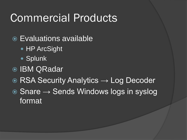### Commercial Products

- Evaluations available
	- HP ArcSight
	- Splunk
- **IBM QRadar**
- **RSA Security Analytics → Log Decoder**
- $\odot$  Snare  $\rightarrow$  Sends Windows logs in syslog format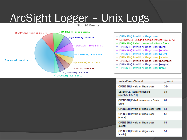# ArcSight Logger – Unix Logs



| deviceEventClassId                                   | count |
|------------------------------------------------------|-------|
| [OPENSSH] Invalid or illegal user                    | 324   |
| [SENDMAIL] Relaying denied<br>[reject=550 5.7.1]     | 84    |
| [OPENSSH] Failed password - Brute<br>force           | 81    |
| [OPENSSH] Invalid or illegal user [test]             | 61    |
| [OPENSSH] Invalid or illegal user<br><b>[oracle]</b> | 58    |
| [OPENSSH] Invalid or illegal user<br>[guest]         | 51    |
| [OPENSSH] Invalid or illegal user<br>[admin]         | 51    |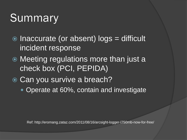## **Summary**

- Inaccurate (or absent) logs = difficult incident response
- Meeting regulations more than just a check box (PCI, PEPIDA)
- Can you survive a breach?
	- Operate at 60%, contain and investigate

Ref: http://eromang.zataz.com/2011/08/16/arcsight-logger-l750mb-now-for-free/